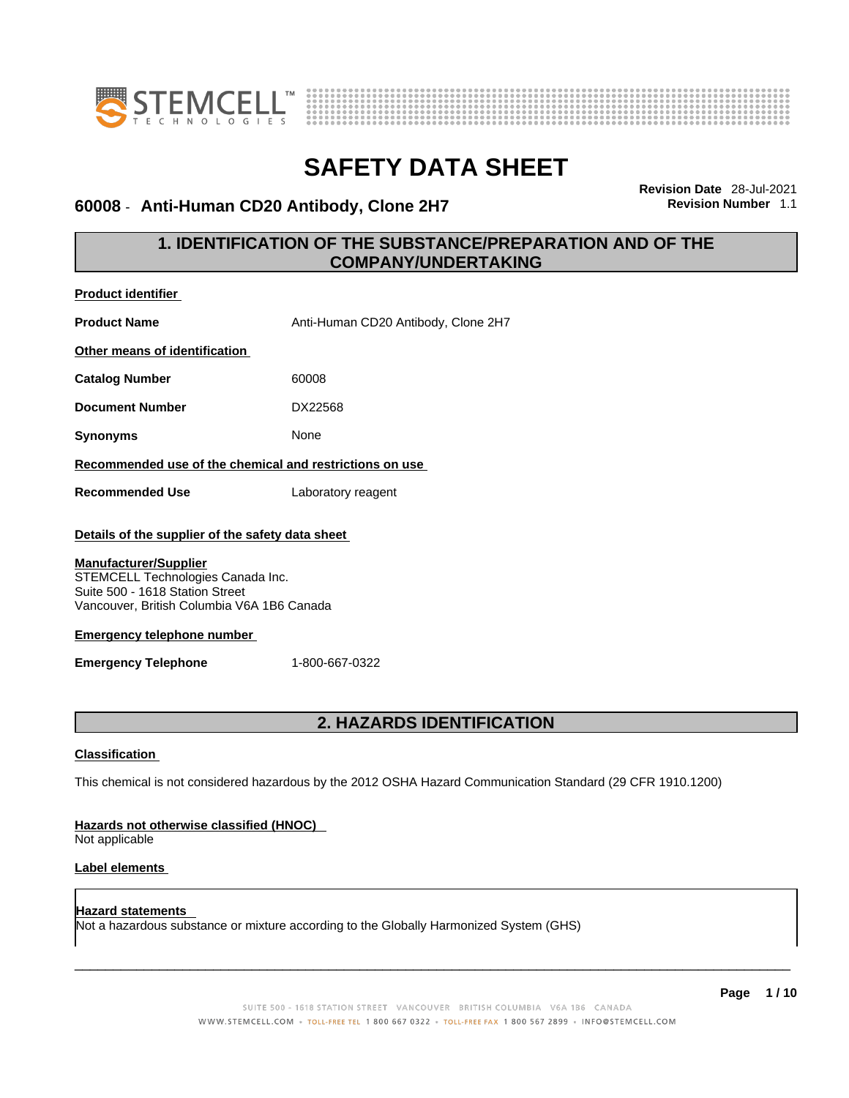



### **60008** - **Anti-Human CD20 Antibody, Clone 2H7 Revision Number** 1.1

**Revision Date** 28-Jul-2021

## **1. IDENTIFICATION OF THE SUBSTANCE/PREPARATION AND OF THE COMPANY/UNDERTAKING**

| <b>Product identifier</b>                                                                                                                                                                                                                                                 |                                                                                                             |
|---------------------------------------------------------------------------------------------------------------------------------------------------------------------------------------------------------------------------------------------------------------------------|-------------------------------------------------------------------------------------------------------------|
| <b>Product Name</b>                                                                                                                                                                                                                                                       | Anti-Human CD20 Antibody, Clone 2H7                                                                         |
| Other means of identification                                                                                                                                                                                                                                             |                                                                                                             |
| <b>Catalog Number</b>                                                                                                                                                                                                                                                     | 60008                                                                                                       |
| <b>Document Number</b>                                                                                                                                                                                                                                                    | DX22568                                                                                                     |
| <b>Synonyms</b>                                                                                                                                                                                                                                                           | None                                                                                                        |
| Recommended use of the chemical and restrictions on use                                                                                                                                                                                                                   |                                                                                                             |
| <b>Recommended Use</b>                                                                                                                                                                                                                                                    | Laboratory reagent                                                                                          |
| Details of the supplier of the safety data sheet<br><b>Manufacturer/Supplier</b><br>STEMCELL Technologies Canada Inc.<br>Suite 500 - 1618 Station Street<br>Vancouver, British Columbia V6A 1B6 Canada<br><b>Emergency telephone number</b><br><b>Emergency Telephone</b> | 1-800-667-0322                                                                                              |
|                                                                                                                                                                                                                                                                           | <b>2. HAZARDS IDENTIFICATION</b>                                                                            |
| <b>Classification</b><br>Hazards not otherwise classified (HNOC)<br>Not applicable<br>Label elements                                                                                                                                                                      | This chemical is not considered hazardous by the 2012 OSHA Hazard Communication Standard (29 CFR 1910.1200) |
| Hazard statements                                                                                                                                                                                                                                                         | Not a hazardous substance or mixture according to the Globally Harmonized System (GHS)                      |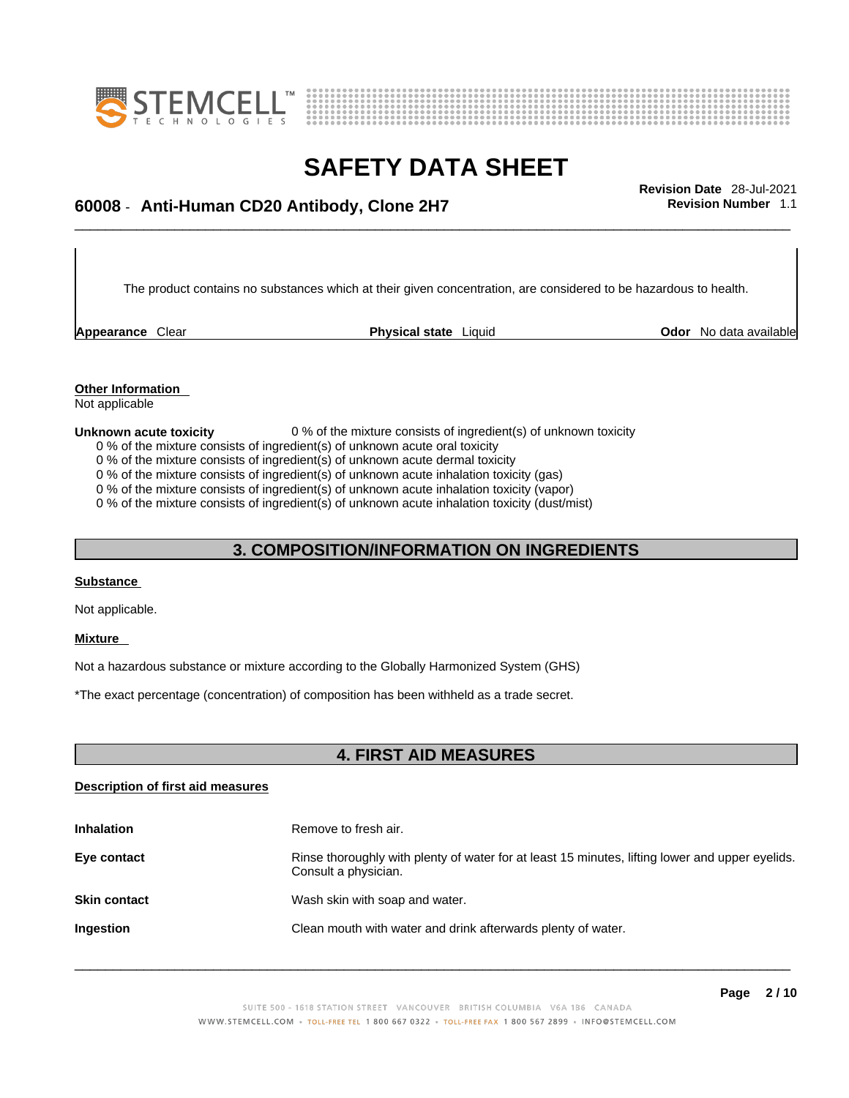



# \_\_\_\_\_\_\_\_\_\_\_\_\_\_\_\_\_\_\_\_\_\_\_\_\_\_\_\_\_\_\_\_\_\_\_\_\_\_\_\_\_\_\_\_\_\_\_\_\_\_\_\_\_\_\_\_\_\_\_\_\_\_\_\_\_\_\_\_\_\_\_\_\_\_\_\_\_\_\_\_\_\_\_\_\_\_\_\_\_\_\_\_\_ **Revision Date** 28-Jul-2021 **60008** - **Anti-Human CD20 Antibody, Clone 2H7 Revision Number** 1.1

The product contains no substances which at their given concentration, are considered to be hazardous to health.

**Appearance** Clear **Physical state** Liquid

**Odor** No data available

**Other Information**  Not applicable

#### **Unknown acute toxicity** 0 % of the mixture consists of ingredient(s) of unknown toxicity

0 % of the mixture consists of ingredient(s) of unknown acute oral toxicity

0 % of the mixture consists of ingredient(s) of unknown acute dermal toxicity

0 % of the mixture consists of ingredient(s) of unknown acute inhalation toxicity (gas)

0 % of the mixture consists of ingredient(s) of unknown acute inhalation toxicity (vapor)

0 % of the mixture consists of ingredient(s) of unknown acute inhalation toxicity (dust/mist)

### **3. COMPOSITION/INFORMATION ON INGREDIENTS**

#### **Substance**

Not applicable.

#### **Mixture**

Not a hazardous substance or mixture according to the Globally Harmonized System (GHS)

\*The exact percentage (concentration) of composition has been withheld as a trade secret.

### **4. FIRST AID MEASURES**

#### **Description of first aid measures**

| <b>Inhalation</b>   | Remove to fresh air.                                                                                                    |
|---------------------|-------------------------------------------------------------------------------------------------------------------------|
| Eye contact         | Rinse thoroughly with plenty of water for at least 15 minutes, lifting lower and upper eyelids.<br>Consult a physician. |
| <b>Skin contact</b> | Wash skin with soap and water.                                                                                          |
| <b>Ingestion</b>    | Clean mouth with water and drink afterwards plenty of water.                                                            |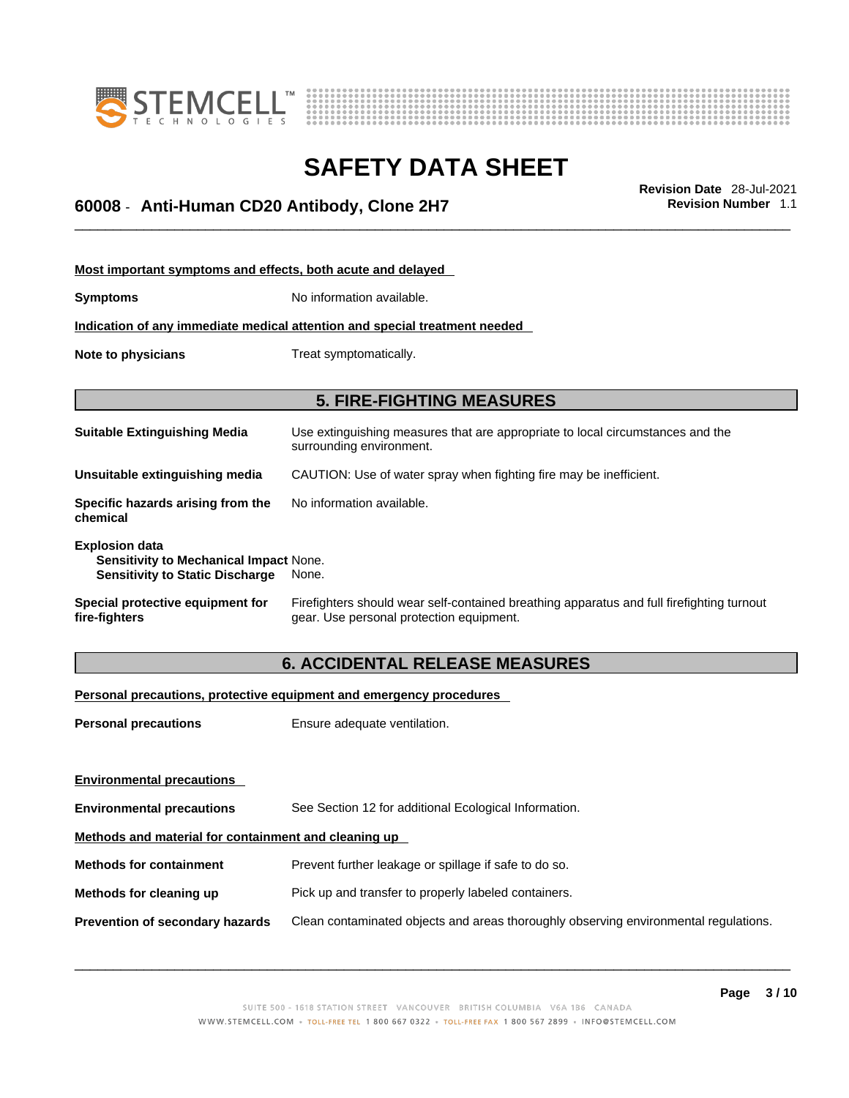



# \_\_\_\_\_\_\_\_\_\_\_\_\_\_\_\_\_\_\_\_\_\_\_\_\_\_\_\_\_\_\_\_\_\_\_\_\_\_\_\_\_\_\_\_\_\_\_\_\_\_\_\_\_\_\_\_\_\_\_\_\_\_\_\_\_\_\_\_\_\_\_\_\_\_\_\_\_\_\_\_\_\_\_\_\_\_\_\_\_\_\_\_\_ **Revision Date** 28-Jul-2021 **60008** - **Anti-Human CD20 Antibody, Clone 2H7 Revision Number** 1.1

| Most important symptoms and effects, both acute and delayed                                               |                                                                                                                                       |  |  |
|-----------------------------------------------------------------------------------------------------------|---------------------------------------------------------------------------------------------------------------------------------------|--|--|
| <b>Symptoms</b>                                                                                           | No information available.                                                                                                             |  |  |
| Indication of any immediate medical attention and special treatment needed                                |                                                                                                                                       |  |  |
| Note to physicians                                                                                        | Treat symptomatically.                                                                                                                |  |  |
|                                                                                                           |                                                                                                                                       |  |  |
| <b>5. FIRE-FIGHTING MEASURES</b>                                                                          |                                                                                                                                       |  |  |
| <b>Suitable Extinguishing Media</b>                                                                       | Use extinguishing measures that are appropriate to local circumstances and the<br>surrounding environment.                            |  |  |
| Unsuitable extinguishing media                                                                            | CAUTION: Use of water spray when fighting fire may be inefficient.                                                                    |  |  |
| Specific hazards arising from the<br>chemical                                                             | No information available.                                                                                                             |  |  |
| <b>Explosion data</b><br>Sensitivity to Mechanical Impact None.<br><b>Sensitivity to Static Discharge</b> | None.                                                                                                                                 |  |  |
| Special protective equipment for<br>fire-fighters                                                         | Firefighters should wear self-contained breathing apparatus and full firefighting turnout<br>gear. Use personal protection equipment. |  |  |

### **6. ACCIDENTAL RELEASE MEASURES**

#### **Personal precautions, protective equipment and emergency procedures**

| Ensure adequate ventilation.                                                         |
|--------------------------------------------------------------------------------------|
|                                                                                      |
|                                                                                      |
| See Section 12 for additional Ecological Information.                                |
| Methods and material for containment and cleaning up                                 |
| Prevent further leakage or spillage if safe to do so.                                |
| Pick up and transfer to properly labeled containers.                                 |
| Clean contaminated objects and areas thoroughly observing environmental regulations. |
|                                                                                      |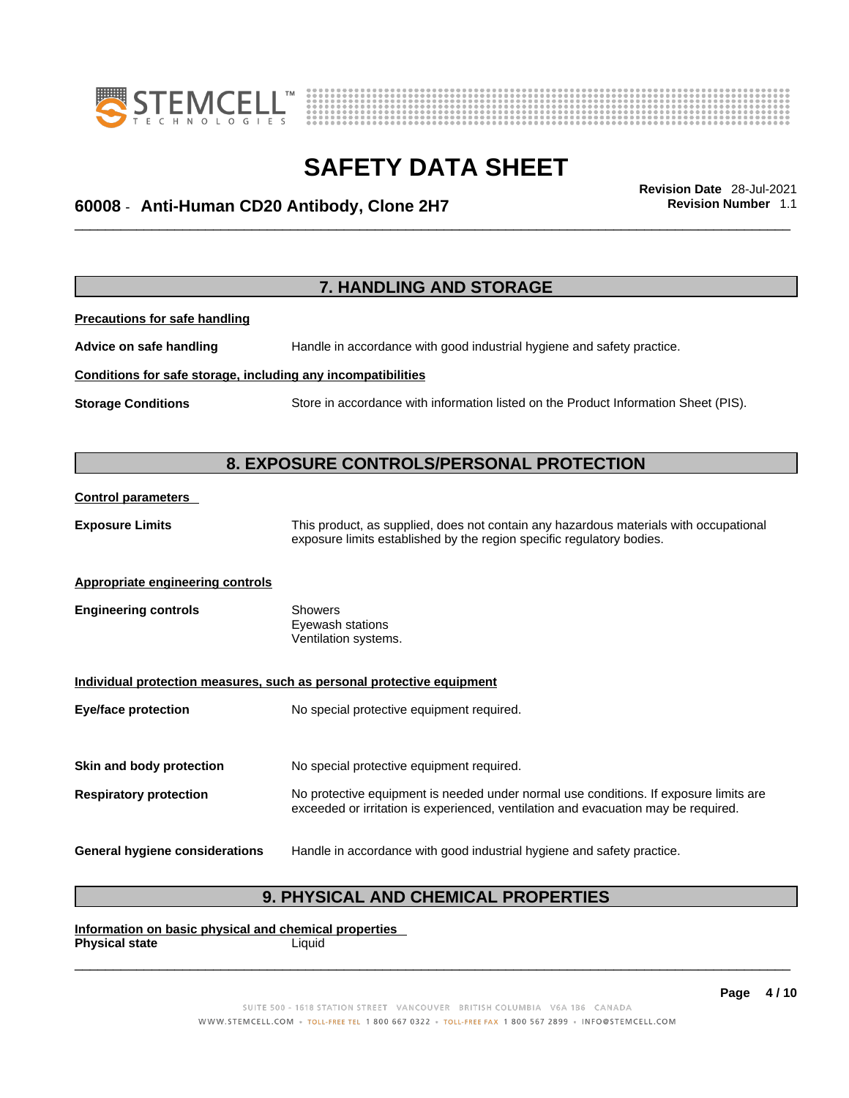



# \_\_\_\_\_\_\_\_\_\_\_\_\_\_\_\_\_\_\_\_\_\_\_\_\_\_\_\_\_\_\_\_\_\_\_\_\_\_\_\_\_\_\_\_\_\_\_\_\_\_\_\_\_\_\_\_\_\_\_\_\_\_\_\_\_\_\_\_\_\_\_\_\_\_\_\_\_\_\_\_\_\_\_\_\_\_\_\_\_\_\_\_\_ **Revision Date** 28-Jul-2021 **60008** - **Anti-Human CD20 Antibody, Clone 2H7 Revision Number** 1.1

**7. HANDLING AND STORAGE Precautions for safe handling Advice on safe handling** Handle in accordance with good industrial hygiene and safety practice. **Conditions for safe storage, including any incompatibilities Storage Conditions** Store in accordance with information listed on the Product Information Sheet (PIS). **8. EXPOSURE CONTROLS/PERSONAL PROTECTION Control parameters Exposure Limits** This product, as supplied, does not contain any hazardous materials with occupational exposure limits established by the region specific regulatory bodies. **Appropriate engineering controls Engineering controls** Showers Eyewash stations Ventilation systems. **Individual protection measures, such as personal protective equipment Eye/face protection** No special protective equipment required. **Skin and body protection** No special protective equipment required. **Respiratory protection** No protective equipment is needed under normal use conditions. If exposure limits are exceeded or irritation is experienced, ventilation and evacuation may be required. **General hygiene considerations** Handle in accordance with good industrial hygiene and safety practice.

### **9. PHYSICAL AND CHEMICAL PROPERTIES**

**Information on basic physical and chemical properties Physical state** Liquid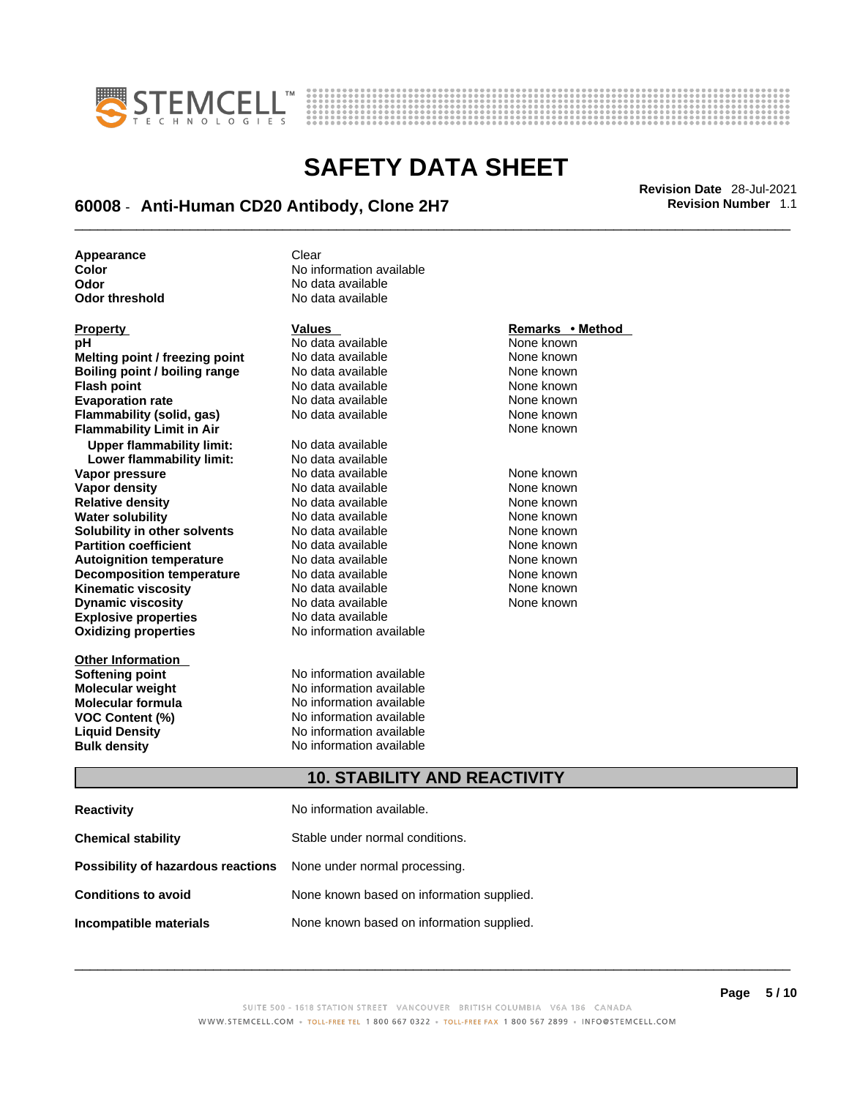



# \_\_\_\_\_\_\_\_\_\_\_\_\_\_\_\_\_\_\_\_\_\_\_\_\_\_\_\_\_\_\_\_\_\_\_\_\_\_\_\_\_\_\_\_\_\_\_\_\_\_\_\_\_\_\_\_\_\_\_\_\_\_\_\_\_\_\_\_\_\_\_\_\_\_\_\_\_\_\_\_\_\_\_\_\_\_\_\_\_\_\_\_\_ **Revision Date** 28-Jul-2021 **60008** - **Anti-Human CD20 Antibody, Clone 2H7 Revision Number** 1.1

**No data available** 

**Appearance** Clear<br> **Color** No inf **Color Color Color Color Color Color Color Color Color No** data available **Odor No data available**<br> **Odor threshold No data available** 

| Property                         | Values                   | Remarks • Method |
|----------------------------------|--------------------------|------------------|
| рH                               | No data available        | None known       |
| Melting point / freezing point   | No data available        | None known       |
| Boiling point / boiling range    | No data available        | None known       |
| <b>Flash point</b>               | No data available        | None known       |
| <b>Evaporation rate</b>          | No data available        | None known       |
| <b>Flammability (solid, gas)</b> | No data available        | None known       |
| <b>Flammability Limit in Air</b> |                          | None known       |
| <b>Upper flammability limit:</b> | No data available        |                  |
| Lower flammability limit:        | No data available        |                  |
| Vapor pressure                   | No data available        | None known       |
| Vapor density                    | No data available        | None known       |
| <b>Relative density</b>          | No data available        | None known       |
| <b>Water solubility</b>          | No data available        | None known       |
| Solubility in other solvents     | No data available        | None known       |
| <b>Partition coefficient</b>     | No data available        | None known       |
| <b>Autoignition temperature</b>  | No data available        | None known       |
| <b>Decomposition temperature</b> | No data available        | None known       |
| <b>Kinematic viscosity</b>       | No data available        | None known       |
| <b>Dynamic viscosity</b>         | No data available        | None known       |
| <b>Explosive properties</b>      | No data available        |                  |
| <b>Oxidizing properties</b>      | No information available |                  |
|                                  |                          |                  |
| <b>Other Information</b>         |                          |                  |
| <b>Softening point</b>           | No information available |                  |
| <b>Molecular weight</b>          | No information available |                  |
| Molecular formula                | No information available |                  |
| <b>VOC Content (%)</b>           | No information available |                  |
| <b>Liquid Density</b>            | No information available |                  |
| <b>Bulk density</b>              | No information available |                  |

### **Property Values Remarks • Method**

## **10. STABILITY AND REACTIVITY**

| <b>Reactivity</b>                                                       | No information available.                 |
|-------------------------------------------------------------------------|-------------------------------------------|
| <b>Chemical stability</b>                                               | Stable under normal conditions.           |
| <b>Possibility of hazardous reactions</b> None under normal processing. |                                           |
| <b>Conditions to avoid</b>                                              | None known based on information supplied. |
| Incompatible materials                                                  | None known based on information supplied. |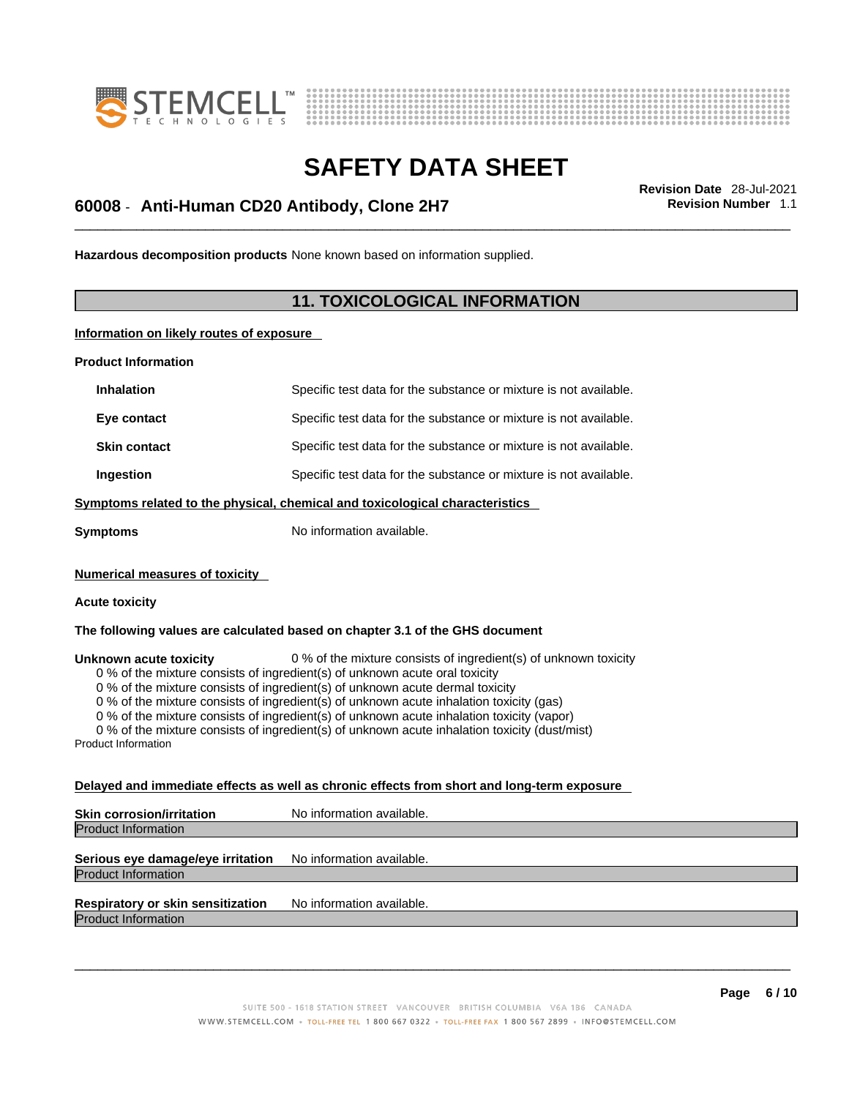



# \_\_\_\_\_\_\_\_\_\_\_\_\_\_\_\_\_\_\_\_\_\_\_\_\_\_\_\_\_\_\_\_\_\_\_\_\_\_\_\_\_\_\_\_\_\_\_\_\_\_\_\_\_\_\_\_\_\_\_\_\_\_\_\_\_\_\_\_\_\_\_\_\_\_\_\_\_\_\_\_\_\_\_\_\_\_\_\_\_\_\_\_\_ **Revision Date** 28-Jul-2021 **60008** - **Anti-Human CD20 Antibody, Clone 2H7 Revision Number** 1.1

**Hazardous decomposition products** None known based on information supplied.

### **11. TOXICOLOGICAL INFORMATION**

**Information on likely routes of exposure**

**Product Information**

| <b>Inhalation</b>   | Specific test data for the substance or mixture is not available.            |
|---------------------|------------------------------------------------------------------------------|
| Eye contact         | Specific test data for the substance or mixture is not available.            |
| <b>Skin contact</b> | Specific test data for the substance or mixture is not available.            |
| Ingestion           | Specific test data for the substance or mixture is not available.            |
|                     | Symptoms related to the physical, chemical and toxicological characteristics |
| Symptoms            | No information available.                                                    |

**Numerical measures of toxicity**

#### **Acute toxicity**

**The following values are calculated based on chapter 3.1 of the GHS document**

**Unknown acute toxicity** 0 % of the mixture consists of ingredient(s) of unknown toxicity

0 % of the mixture consists of ingredient(s) of unknown acute oral toxicity

0 % of the mixture consists of ingredient(s) of unknown acute dermal toxicity

0 % of the mixture consists of ingredient(s) of unknown acute inhalation toxicity (gas)

0 % of the mixture consists of ingredient(s) of unknown acute inhalation toxicity (vapor)

0 % of the mixture consists of ingredient(s) of unknown acute inhalation toxicity (dust/mist)

Product Information

#### **Delayed and immediate effects as well as chronic effects from short and long-term exposure**

**Skin corrosion/irritation** No information available. Product Information

#### **Serious eye damage/eye irritation** No information available. Product Information

**Respiratory or skin sensitization** No information available.

Product Information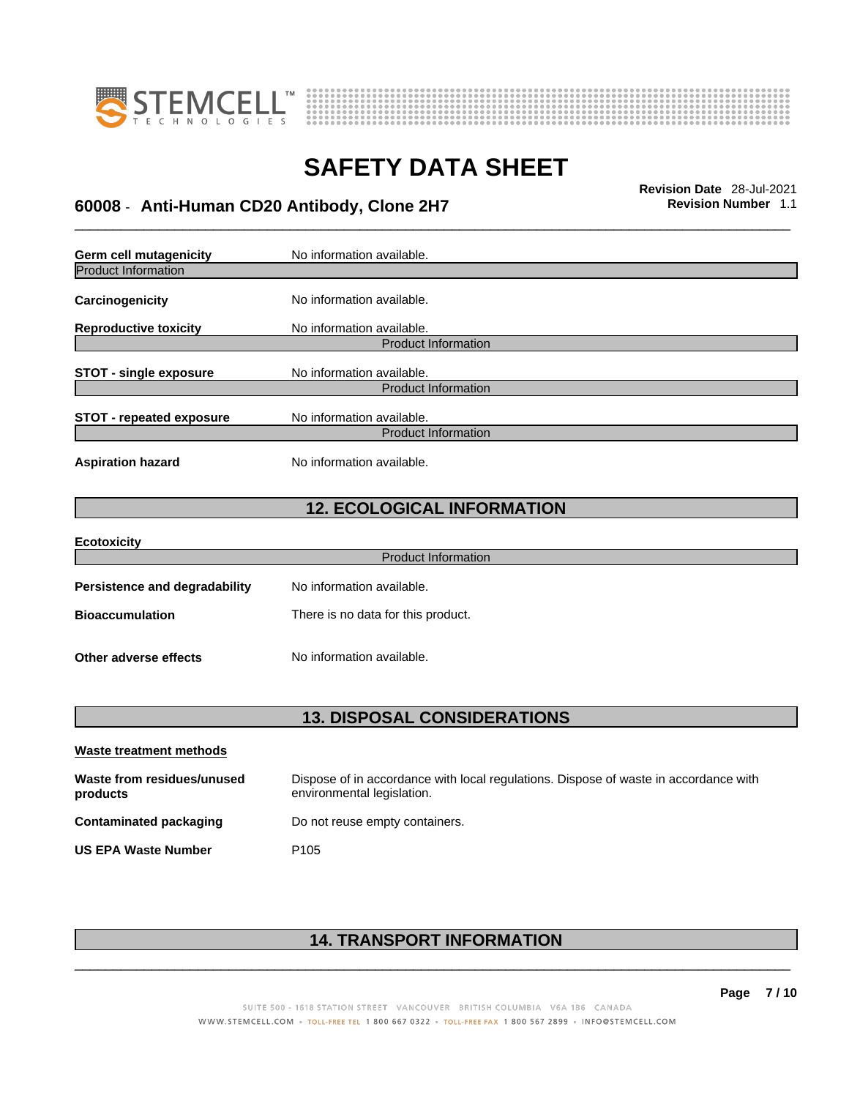



# \_\_\_\_\_\_\_\_\_\_\_\_\_\_\_\_\_\_\_\_\_\_\_\_\_\_\_\_\_\_\_\_\_\_\_\_\_\_\_\_\_\_\_\_\_\_\_\_\_\_\_\_\_\_\_\_\_\_\_\_\_\_\_\_\_\_\_\_\_\_\_\_\_\_\_\_\_\_\_\_\_\_\_\_\_\_\_\_\_\_\_\_\_ **Revision Date** 28-Jul-2021 **60008** - **Anti-Human CD20 Antibody, Clone 2H7 Revision Number** 1.1

**Germ cell mutagenicity** No information available. Product Information **Carcinogenicity** No information available. **Reproductive toxicity** No information available. Product Information **STOT** - single exposure No information available. Product Information **STOT** - **repeated exposure** No information available. Product Information **Aspiration hazard** No information available. **12. ECOLOGICAL INFORMATION Ecotoxicity**  Product Information **Persistence and degradability** No information available. **Bioaccumulation** There is no data for this product. **Other adverse effects** No information available.

### **13. DISPOSAL CONSIDERATIONS**

| Waste treatment methods                |                                                                                                                    |
|----------------------------------------|--------------------------------------------------------------------------------------------------------------------|
| Waste from residues/unused<br>products | Dispose of in accordance with local regulations. Dispose of waste in accordance with<br>environmental legislation. |
| Contaminated packaging                 | Do not reuse empty containers.                                                                                     |
| <b>US EPA Waste Number</b>             | P <sub>105</sub>                                                                                                   |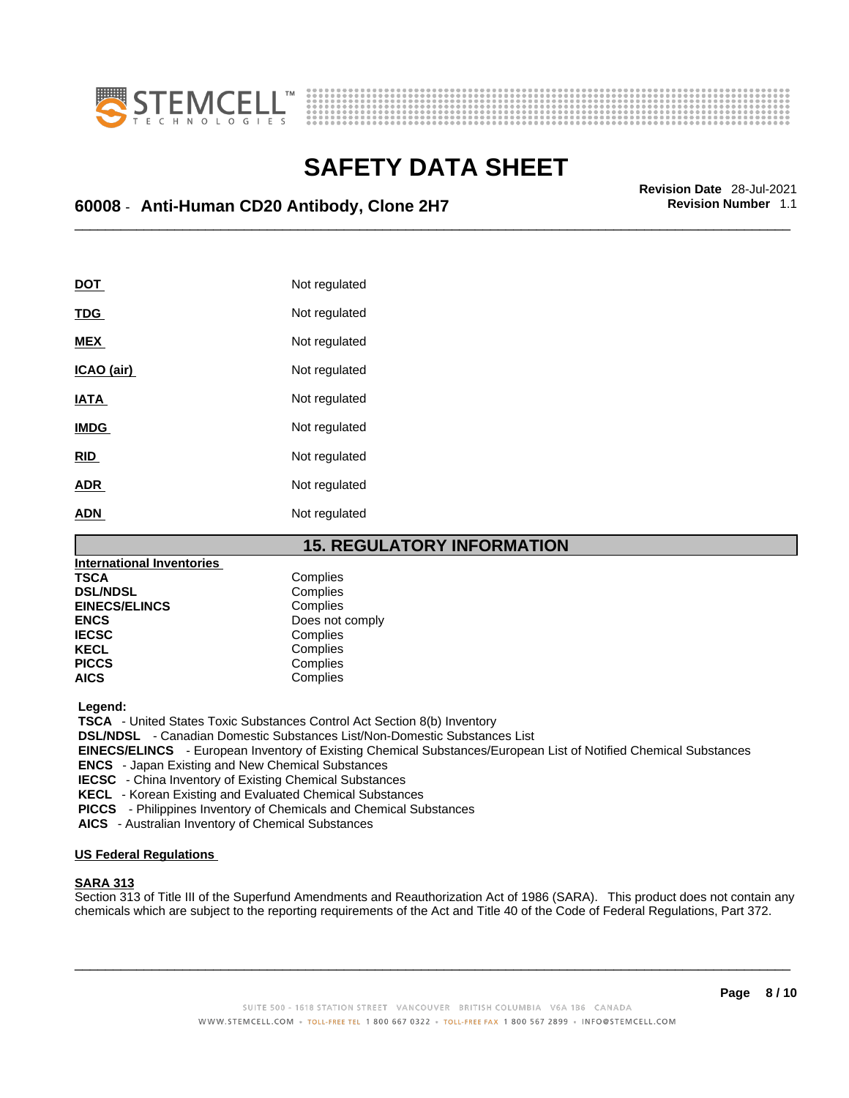



# \_\_\_\_\_\_\_\_\_\_\_\_\_\_\_\_\_\_\_\_\_\_\_\_\_\_\_\_\_\_\_\_\_\_\_\_\_\_\_\_\_\_\_\_\_\_\_\_\_\_\_\_\_\_\_\_\_\_\_\_\_\_\_\_\_\_\_\_\_\_\_\_\_\_\_\_\_\_\_\_\_\_\_\_\_\_\_\_\_\_\_\_\_ **Revision Date** 28-Jul-2021 **60008** - **Anti-Human CD20 Antibody, Clone 2H7 Revision Number** 1.1

| <b>DOT</b>  | Not regulated |
|-------------|---------------|
| <b>TDG</b>  | Not regulated |
| <b>MEX</b>  | Not regulated |
| ICAO (air)  | Not regulated |
| <b>IATA</b> | Not regulated |
| <b>IMDG</b> | Not regulated |
| <b>RID</b>  | Not regulated |
| <b>ADR</b>  | Not regulated |
| <b>ADN</b>  | Not regulated |

### **15. REGULATORY INFORMATION**

| <b>International Inventories</b> |                 |
|----------------------------------|-----------------|
| <b>TSCA</b>                      | Complies        |
| <b>DSL/NDSL</b>                  | Complies        |
| <b>EINECS/ELINCS</b>             | Complies        |
| <b>ENCS</b>                      | Does not comply |
| <b>IECSC</b>                     | Complies        |
| <b>KECL</b>                      | Complies        |
| <b>PICCS</b>                     | Complies        |
| <b>AICS</b>                      | Complies        |

 **Legend:** 

 **TSCA** - United States Toxic Substances Control Act Section 8(b) Inventory

 **DSL/NDSL** - Canadian Domestic Substances List/Non-Domestic Substances List

 **EINECS/ELINCS** - European Inventory of Existing Chemical Substances/European List of Notified Chemical Substances

 **ENCS** - Japan Existing and New Chemical Substances

 **IECSC** - China Inventory of Existing Chemical Substances

 **KECL** - Korean Existing and Evaluated Chemical Substances

 **PICCS** - Philippines Inventory of Chemicals and Chemical Substances

 **AICS** - Australian Inventory of Chemical Substances

#### **US Federal Regulations**

#### **SARA 313**

Section 313 of Title III of the Superfund Amendments and Reauthorization Act of 1986 (SARA). This product does not contain any chemicals which are subject to the reporting requirements of the Act and Title 40 of the Code of Federal Regulations, Part 372.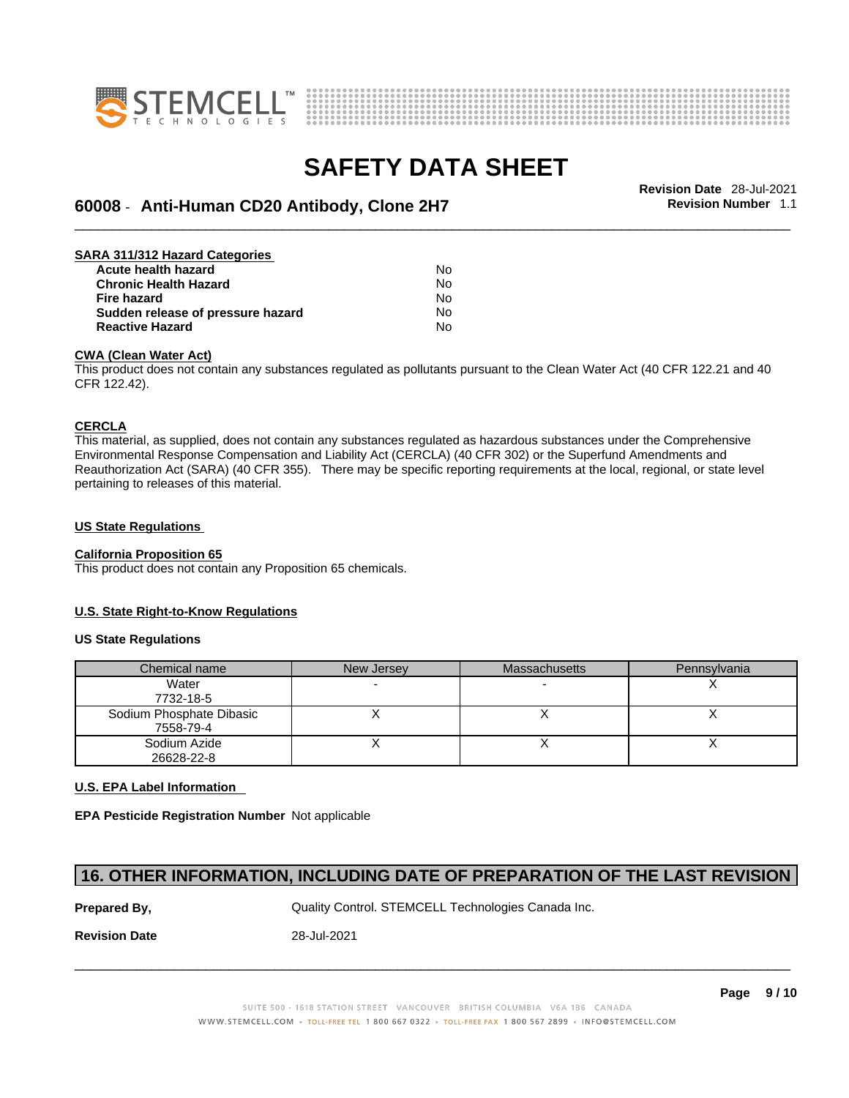



# \_\_\_\_\_\_\_\_\_\_\_\_\_\_\_\_\_\_\_\_\_\_\_\_\_\_\_\_\_\_\_\_\_\_\_\_\_\_\_\_\_\_\_\_\_\_\_\_\_\_\_\_\_\_\_\_\_\_\_\_\_\_\_\_\_\_\_\_\_\_\_\_\_\_\_\_\_\_\_\_\_\_\_\_\_\_\_\_\_\_\_\_\_ **Revision Date** 28-Jul-2021 **60008** - **Anti-Human CD20 Antibody, Clone 2H7 Revision Number** 1.1

| SARA 311/312 Hazard Categories    |    |  |
|-----------------------------------|----|--|
| Acute health hazard               | N٥ |  |
| <b>Chronic Health Hazard</b>      | No |  |
| <b>Fire hazard</b>                | No |  |
| Sudden release of pressure hazard | No |  |
| <b>Reactive Hazard</b>            | No |  |

#### **CWA (Clean WaterAct)**

This product does not contain any substances regulated as pollutants pursuant to the Clean Water Act (40 CFR 122.21 and 40 CFR 122.42).

#### **CERCLA**

This material, as supplied, does not contain any substances regulated as hazardous substances under the Comprehensive Environmental Response Compensation and Liability Act (CERCLA) (40 CFR 302) or the Superfund Amendments and Reauthorization Act (SARA) (40 CFR 355). There may be specific reporting requirements at the local, regional, or state level pertaining to releases of this material.

#### **US State Regulations**

#### **California Proposition 65**

This product does not contain any Proposition 65 chemicals.

#### **U.S. State Right-to-Know Regulations**

#### **US State Regulations**

| Chemical name            | New Jersey | <b>Massachusetts</b> | Pennsylvania |
|--------------------------|------------|----------------------|--------------|
| Water                    |            |                      |              |
| 7732-18-5                |            |                      |              |
| Sodium Phosphate Dibasic |            |                      |              |
| 7558-79-4                |            |                      |              |
| Sodium Azide             |            |                      |              |
| 26628-22-8               |            |                      |              |

#### **U.S. EPA Label Information**

**EPA Pesticide Registration Number** Not applicable

### **16. OTHER INFORMATION, INCLUDING DATE OF PREPARATION OF THE LAST REVISION**

**Prepared By, State Control. STEMCELL Technologies Canada Inc.** Canada Inc.

**Revision Date** 28-Jul-2021

SUITE 500 - 1618 STATION STREET VANCOUVER BRITISH COLUMBIA V6A 1B6 CANADA WWW.STEMCELL.COM • TOLL-FREE TEL 1 800 667 0322 • TOLL-FREE FAX 1 800 567 2899 • INFO@STEMCELL.COM